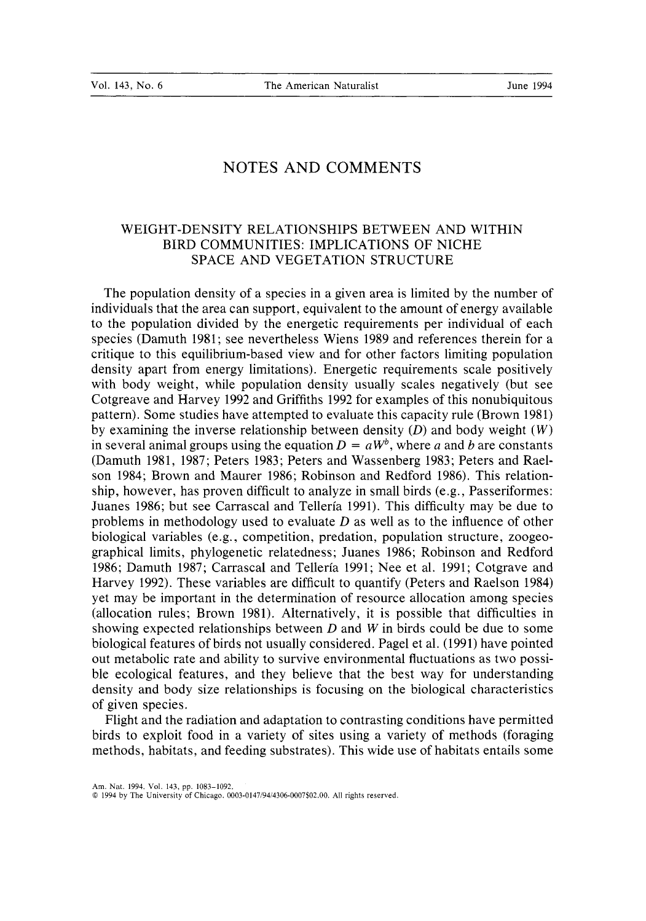# NOTES AND COMMENTS

# WEIGHT-DENSITY RELATIONSHIPS BETWEEN AND WITHIN BIRD COMMUNITIES: IMPLICATIONS OF NICHE SPACE AND VEGETATION STRUCTURE

The population density of a species in a given area is limited by the number of individuals that the area can support, equivalent to the amount of energy available to the population divided by the energetic requirernents per individual of each species (Damuth 1981; see nevertheless Wiens 1989 and references therein for a critique to this equilibrium-based view and for other factors lirniting population density apart from energy limitations). Energetic requirements scale positively with body weight, while population density usually scales negatively (but see Cotgreave and Harvey 1992 and Griffiths 1992 for exarnples of this nonubiquitous pattern). Sorne studies have atternpted to evaluate this capacity rule (Brown 1981) by examining the inverse relationship between density  $(D)$  and body weight  $(W)$ in several animal groups using the equation  $D = aW^b$ , where a and b are constants (Damuth 1981, 1987; Peters 1983; Peters and Wassenberg 1983; Peters and Raelson 1984; Brown and Maurer 1986; Robinson and Redford 1986). This relationship, however, has proven difficult to analyze in small birds (e.g., Passeriformes: Juanes 1986; but see Carrascal and Tellería 1991). This difficulty may be due to problems in methodology used to evaluate  $D$  as well as to the influence of other biological variables (e.g., competition, predation, population structure, zoogeographical limits, phylogenetic relatedness; Juanes 1986; Robinson and Redford 1986; Damuth 1987; Carrascal and Tellería 1991; Nee et al. 1991; Cotgrave and Harvey 1992). These variables are difficult to quantify (Peters and Raelson 1984) yet may be important in the determination of resource allocation among species (allocation rules; Brown 1981). Alternatively, it is posible that difficulties in showing expected relationships between  $D$  and  $W$  in birds could be due to some biological features of birds not usually considered. Pagel et al. (1991) have pointed out metabolic rate and ability to survive environmental fluctuations as two possible ecological features, and they believe that the best way for understanding density and body size relationships is focusing on the biological characteristics of given species.

Flight and the radiation and adaptation to contrasting conditions have perrnitted birds to exploit food in a variety of sites using a variety of methods (foraging methods, habitats, and feeding substrates). This wide use of habitats entails some

Am. Nat. 1994. Vol. 143, pp. 1083-1092.

O 1994 by The University of Chicago. 0003-014719414306-0007\$02.00. All rights reserved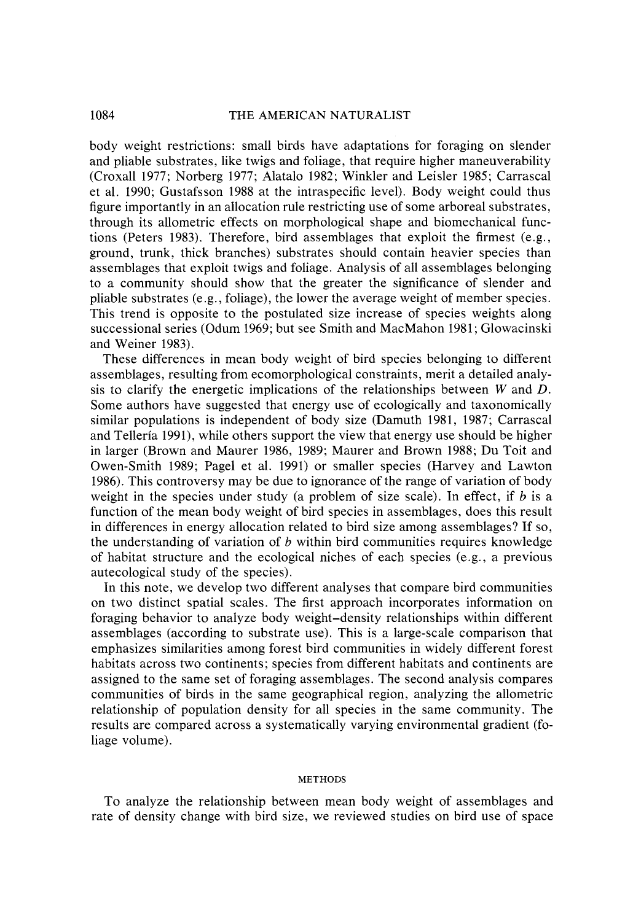body weight restrictions: small birds have adaptations for foraging on slender and pliable substrates, like twigs and foliage, that require higher maneuverability (Croxall 1977; Norberg 1977; Alatalo 1982; Winkler and Leisler 1985; Carrascal et al. 1990; Gustafsson 1988 at the intraspecific level). Body weight could thus figure importantly in an allocation rule restricting use of some arboreal substrates, through its allometric effects on morphological shape and biomechanical functions (Peters 1983). Therefore, bird assemblages that exploit the firmest (e.g., ground, trunk, thick branches) substrates should contain heavier species than assemblages that exploit twigs and foliage. Analysis of al1 assemblages belonging to a community should show that the greater the significance of slender and pliable substrates (e.g., foliage), the lower the average weight of member species. This trend is opposite to the postulated size increase of species weights along successional series (Odum 1969; but see Smith and MacMahon 1981; Glowacinski and Weiner 1983).

These differences in mean body weight of bird species belonging to different assemblages, resulting from ecomorphological constraints, merit a detailed analysis to clarify the energetic implications of the relationships between  $W$  and  $D$ . Some authors have suggested that energy use of ecologically and taxonomically similar populations is independent of body size (Damuth 1981, 1987; Carrascal and Tellería 1991), while others support the view that energy use should be higher in larger (Brown and Maurer 1986, 1989; Maurer and Brown 1988; Du Toit and Owen-Smith 1989; Pagel et al. 1991) or smaller species (Harvey and Lawton 1986). This controversy may be due to ignorance of the range of variation of body weight in the species under study (a problem of size scale). In effect, if  $b$  is a function of the mean body weight of bird species in assemblages, does this result in differences in energy allocation related to bird size among assemblages? If so, the understanding of variation of b within bird communities requires knowledge of habitat structure and the ecological niches of each species (e.g., a previous autecological study of the species).

In this note, we develop two different analyses that compare bird communities on two distinct spatial scales. The first approach incorporates information on foraging behavior to analyze body weight-density relationships within different assemblages (according to substrate use). This is a large-scale comparison that emphasizes similarities among forest bird communities in widely different forest habitats across two continents; species from different habitats and continents are assigned to the same set of foraging assemblages. The second analysis compares communities of birds in the same geographical region, analyzing the allometric relationship of population density for al1 species in the same community. The results are compared across a systematically varying environmental gradient (foliage volume).

### METHODS

To analyze the relationship between mean body weight of assemblages and rate of density change with bird size, we reviewed studies on bird use of space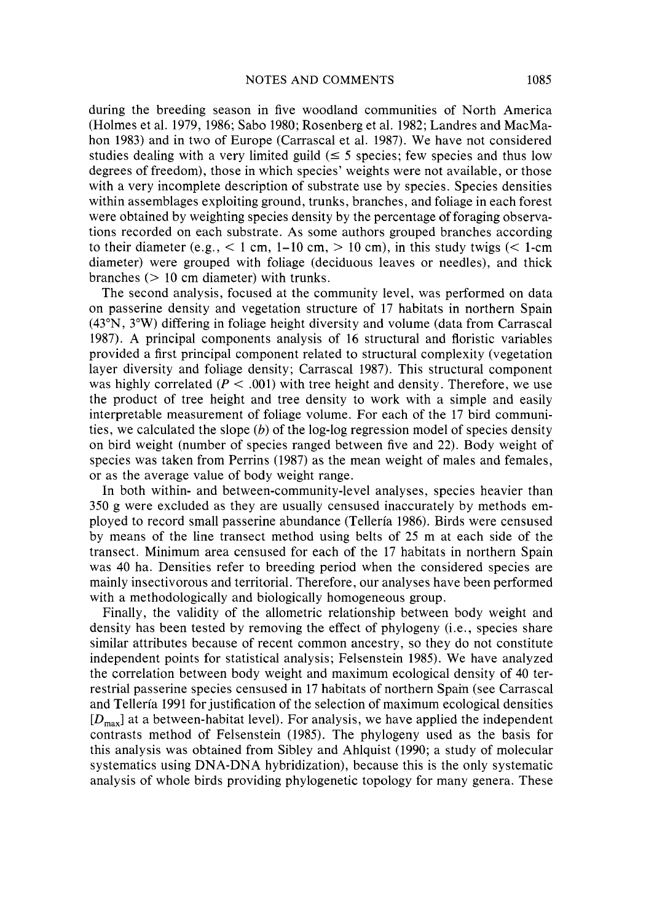during the breeding season in five woodland communities of North America (Holmes et al. 1979, 1986; Sabo 1980; Rosenberg et al. 1982; Landres and MacMahon 1983) and in two of Europe (Carrascal et al. 1987). We have not considered studies dealing with a very limited guild  $(\leq 5$  species; few species and thus low degrees of freedom), those in which species' weights were not available, or those with a very incomplete description of substrate use by species. Species densities within assemblages exploiting ground, trunks, branches, and foliage in each forest were obtained by weighting species density by the percentage of foraging observations recorded on each substrate. As some authors grouped branches according to their diameter (e.g.,  $\lt 1$  cm,  $1-10$  cm,  $\gt 10$  cm), in this study twigs ( $\lt 1$ -cm diameter) were grouped with foliage (deciduous leaves or needles), and thick branches  $(> 10$  cm diameter) with trunks.

The second analysis, focused at the community level, was performed on data on passerine density and vegetation structure of 17 habitats in northern Spain (43"N, 3"W) differing in foliage height diversity and volume (data from Carrascal 1987). A principal components analysis of 16 structural and floristic variables provided a first principal component related to structural complexity (vegetation layer diversity and foliage density; Carrascal 1987). This structural component was highly correlated ( $P < .001$ ) with tree height and density. Therefore, we use the product of tree height and tree density to work with a simple and easily interpretable measurement of foliage volume. For each of the 17 bird communities, we calculated the slope  $(b)$  of the log-log regression model of species density on bird weight (number of species ranged between five and 22). Body weight of species was taken from Perrins (1987) as the mean weight of males and females, or as the average value of body weight range.

In both within- and between-community-level analyses, species heavier than 350 g were excluded as they are usually censused inaccurately by methods employed to record small passerine abundance (Tellería 1986). Birds were censused by means of the line transect method using belts of 25 m at each side of the transect. Minimum area censused for each of the 17 habitats in northern Spain was 40 ha. Densities refer to breeding period when the considered species are mainly insectivorous and territorial. Therefore, our analyses have been performed with a methodologically and biologically homogeneous group.

Finally, the validity of the allometric relationship between body weight and density has been tested by removing the effect of phylogeny (i.e., species share similar attributes because of recent common ancestry, so they do not constitute independent points for statistical analysis; Felsenstein 1985). We have analyzed the correlation between body weight and maximum ecological density of 40 terrestrial passerine species censused in 17 habitats of northern Spaih (see Carrascal and Tellería 1991 for justification of the selection of maximum ecological densities  $[D<sub>max</sub>]$  at a between-habitat level). For analysis, we have applied the independent contrasts method of Felsenstein (1985). The phylogeny used as the basis for this analysis was obtained from Sibley and Ahlquist (1990; a study of molecular systematics using DNA-DNA hybridization), because this is the only systematic analysis of whole birds providing phylogenetic topology for many genera. These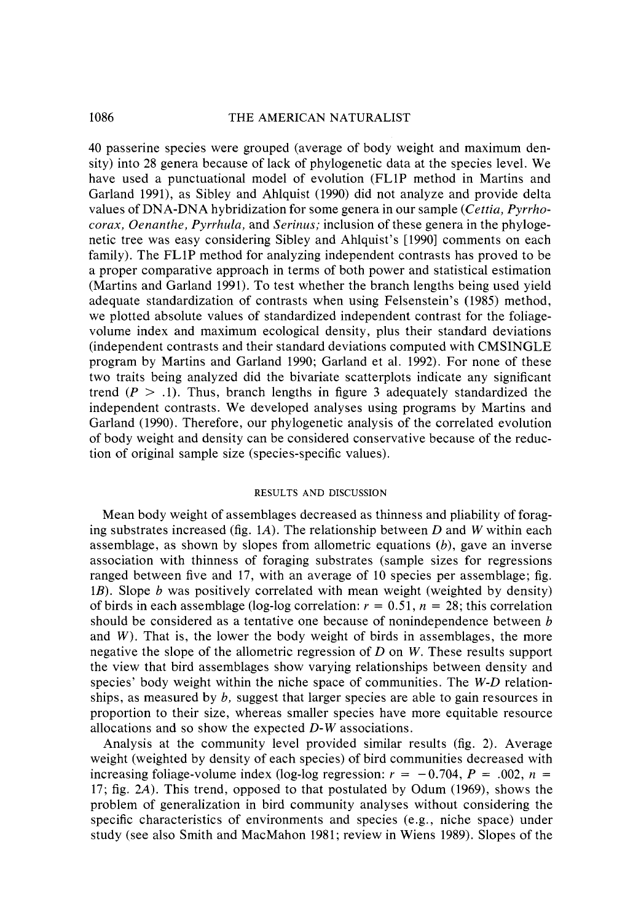40 passerine species were grouped (average of body weight and maximum density) into 28 genera because of lack of phylogenetic data at the species level. We have used a punctuational model of evolution (FLlP method in Martins and Garland 1991), as Sibley and Ahlquist (1990) did not analyze and provide delta values of DNA-DNA hybridization for some genera in our sample (Cettia, Pyrrhocorax, Oenanthe, Pyrrhula, and Serinus; inclusion of these genera in the phylogenetic tree was easy considering Sibley and Ahlquist's [1990] comments on each family). The FLlP method for analyzing independent contrasts has proved to be a proper comparative approach in terms of both power and statistical estimation (Martins and Garland 1991). To test whether the branch lengths being used yield adequate standardization of contrasts when using Felsenstein's (1985) method, we plotted absolute values of standardized independent contrast for the foliagevolume index and maximum ecological density, plus their standard deviations (independent contrasts and their standard deviations computed with CMSINGLE program by Martins and Garland 1990; Garland et al. 1992). For none of these two traits being analyzed did the bivariate scatterplots indicate any significant trend  $(P > 0.1)$ . Thus, branch lengths in figure 3 adequately standardized the independent contrasts. We developed analyses using programs by Martins and Garland (1990). Therefore, our phylogenetic analysis of the correlated evolution of body weight and density can be considered conservative because of the reduction of original sample size (species-specific values).

## RESULTS AND DISCUSSION

Mean body weight of assemblages decreased as thinness and pliability of foraging substrates increased (fig. 1A). The relationship between  $D$  and  $W$  within each assemblage, as shown by slopes from allometric equations  $(b)$ , gave an inverse association with thinness of foraging substrates (sample sizes for regressions ranged between five and 17, with an average of 10 species per assemblage; fig. 1B). Slope b was positively correlated with mean weight (weighted by density) of birds in each assemblage (log-log correlation:  $r = 0.51$ ,  $n = 28$ ; this correlation should be considered as a tentative one because of nonindependence between b and  $W$ ). That is, the lower the body weight of birds in assemblages, the more negative the slope of the allometric regression of  $D$  on  $W$ . These results support the view that bird assemblages show varying relationships between density and species' body weight within the niche space of communities. The W-D relationships, as measured by b, suggest that larger species are able to gain resources in proportion to their size, whereas smaller species have more equitable resource allocations and so show the expected D-W associations.

Analysis at the community level provided similar results (fig. 2). Average weight (weighted by density of each species) of bird communities decreased with increasing foliage-volume index (log-log regression:  $r = -0.704$ ,  $P = .002$ ,  $n =$ 17; fig. 2A). This trend, opposed to that postulated by Odum (1969), shows the problem of generalization in bird community analyses without considering the specific characteristics of environments and species (e.g., niche space) under study (see also Smith and MacMahon 1981; review in Wiens 1989). Slopes of the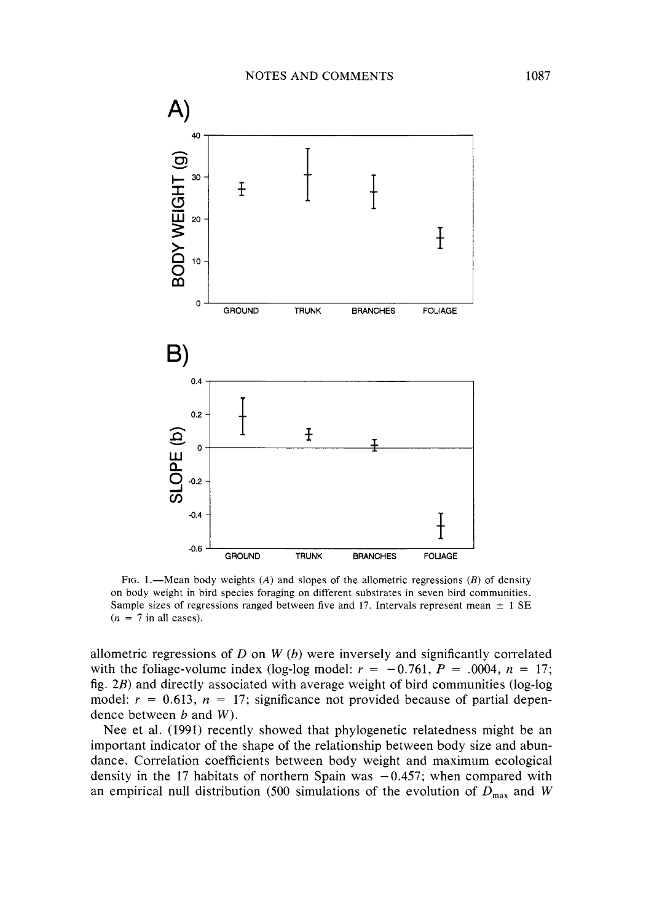

FIG. 1.—Mean body weights (A) and slopes of the allometric regressions (B) of density on body weight in bird species foraging on different substrates in seven bird communities. Sample sizes of regressions ranged between five and 17. Intervals represent mean  $\pm$  1 SE  $(n = 7$  in all cases).

allometric regressions of  $D$  on  $W(b)$  were inversely and significantly correlated with the foliage-volume index (log-log model:  $r = -0.761$ ,  $P = .0004$ ,  $n = 17$ ; fig. *2B)* and directly associated with average weight of bird communities (log-log model:  $r = 0.613$ ,  $n = 17$ ; significance not provided because of partial dependence between  $b$  and  $W$ ).

Nee et al. (1991) recently showed that phylogenetic relatedness might be an important indicator of the shape of the relationship between body size and abundance. Correlation coefficients between body weight and maximum ecological density in the 17 habitats of northern Spain was  $-0.457$ ; when compared with an empirical null distribution (500 simulations of the evolution of  $D_{\text{max}}$  and W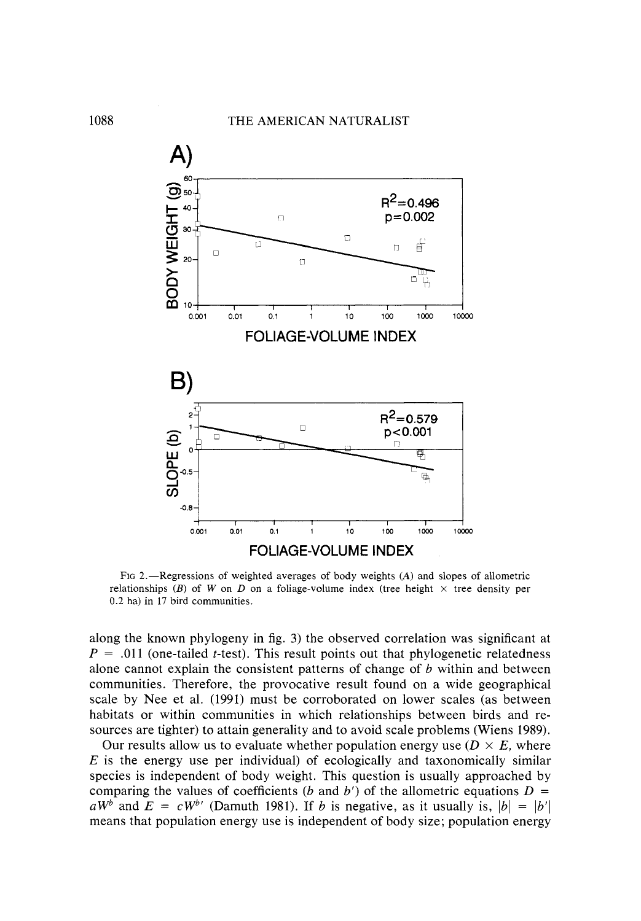

Fic 2.-Regressions of weighted averages of body weights **(A)** and slopes of allometric relationships (B) of W on D on a foliage-volume index (tree height  $\times$  tree density per 0.2 ha) in 17 bird communities.

along the known phylogeny in fig. **3)** the observed correlation was significant at  $P = .011$  (one-tailed *t*-test). This result points out that phylogenetic relatedness alone cannot explain the consistent patterns of change of  $b$  within and between communities. Therefore, the provocative result found on a wide geographical scale by Nee et al. (1991) must be corroborated on lower scales (as between habitats or within communities in which relationships between birds and resources are tighter) to attain generality and to avoid scale problems (Wiens 1989).

Our results allow us to evaluate whether population energy use  $(D \times E)$ , where  $E$  is the energy use per individual) of ecologically and taxonomically similar species is independent of body weight. This question is usually approached by comparing the values of coefficients (b and b') of the allometric equations  $D =$  $aW^b$  and  $E = cW^{b'}$  (Damuth 1981). If b is negative, as it usually is,  $|b| = |b'|$ means that population energy use is independent of body size; population energy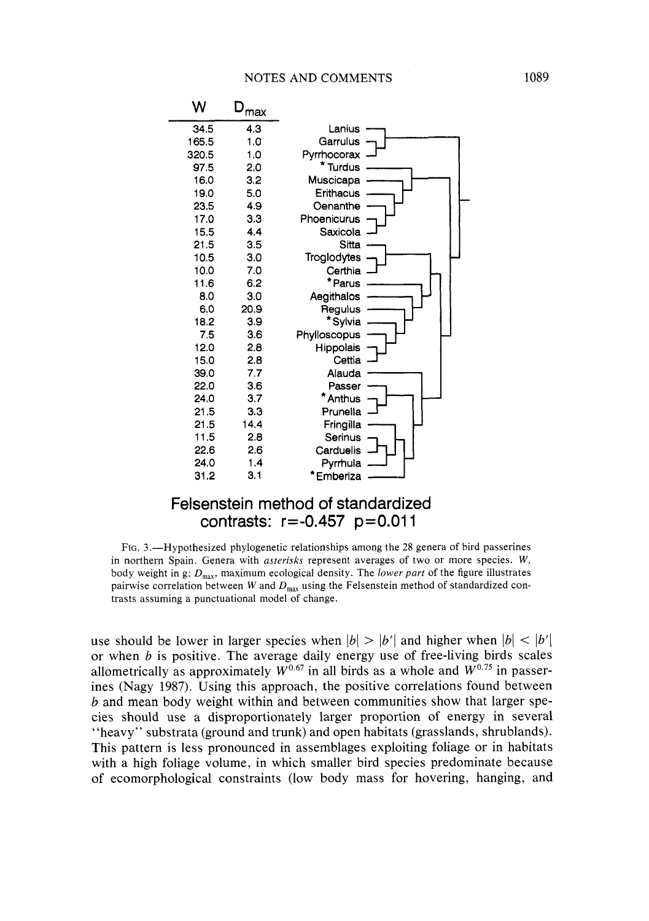| W     | $\mathsf{D}_{\mathsf{max}}$ |                  |
|-------|-----------------------------|------------------|
| 34.5  | 43                          | Lanius           |
| 165.5 | 10                          | Garrulus         |
| 320.5 | 10                          | Pyrrhocorax      |
| 97.5  | 2.0                         | * Turdus         |
| 16.0  | 32                          | Muscicapa        |
| 19.0  | 5.0                         | Erithacus        |
| 23.5  | 4.9                         | Oenanthe         |
| 17.0  | 3.3                         | Phoenicurus      |
| 15.5  | 4.4                         | Saxicola         |
| 21.5  | 3.5                         | Sitta            |
| 10.5  | 3.0                         | Troglodytes      |
| 10.0  | 7.0                         | Certhia          |
| 11.6  | 6.2                         | *Parus           |
| 8.0   | 3.0                         | Aegithalos       |
| 6.0   | 20.9                        | Regulus          |
| 18.2  | 3.9                         | * Sylvia         |
| 7.5   | 3.6                         | Phylloscopus     |
| 12.0  | 2.8                         | <b>Hippolais</b> |
| 15.0  | 2.8                         | Cettia           |
| 39.0  | 7.7                         | Alauda           |
| 22.0  | 3.6                         | Passer           |
| 24.0  | 3.7                         | Anthus           |
| 21.5  | 3.3                         | Prunella         |
| 21.5  | 14.4                        | Fringilla        |
| 11.5  | 2.8                         | Serinus          |
| 22.6  | 2.6                         | Carduelis        |
| 24.0  | 1.4                         | Pyrrhula         |
| 31.2  | 3.1                         | * Emberiza       |

# Felsenstein method of standardized contrasts: r=-0.457 p=0.011

FIG. 3.-Hypothesized phylogenetic relationships among the 28 genera of bird passerines in northern Spain. Genera with *asterisks* represent averages of two or more species. W, body weight in g;  $D_{\text{max}}$ , maximum ecological density. The *lower part* of the figure illustrates pairwise correlation between W and  $D_{\text{max}}$  using the Felsenstein method of standardized contrasts assuming a punctuational model of change.

use should be lower in larger species when  $|b| > |b'|$  and higher when  $|b| < |b'|$ or when *b* is positive. The average daily energy use of free-living birds scales allometrically as approximately  $W^{0.67}$  in all birds as a whole and  $W^{0.75}$  in passerines (Nagy 1987). Using this approach, the positive correlations found between *b* and mean body weight within and between communities show that larger species should use a disproportionately larger proportion of energy in severa1 "heavy" substrata (ground and trunk) and open habitats (grasslands, shrublands). This pattern is less pronounced in assemblages exploiting foliage or in habitats with a high foliage volume, in which smaller bird species predominate because of ecomorphological constraints (low body mass for hovering, hanging, and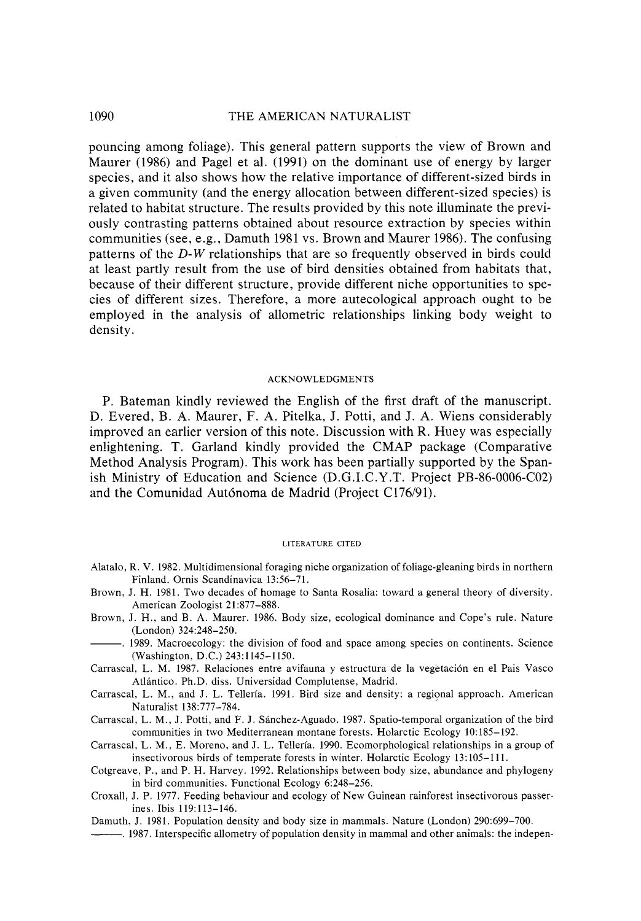pouncing among foliage). This general pattern supports the view of Brown and Maurer (1986) and Pagel et al. (1991) on the dominant use of energy by larger species, and it also shows how the relative importance of different-sized birds in a given community (and the energy allocation between different-sized species) is related to habitat structure. The results provided by this note illuminate the previously contrasting patterns obtained about resource extraction by species within communities (see, e.g., Damuth 1981 vs. Brown and Maurer 1986). The confusing patterns of the D-W relationships that are so frequently observed in birds could at least partly result from the use of bird densities obtained from habitats that, because of their different structure, provide different niche opportunities to species of different sizes. Therefore, a more autecological approach ought to be employed in the analysis of allometric relationships linking body weight to density.

### ACKNOWLEDGMENTS

P. Bateman kindly reviewed the English of the first draft of the manuscript. D. Evered, B. A. Maurer, F. A. Pitelka, J. Potti, and J. A. Wiens considerably improved an earlier version of this note. Discussion with R. Huey was especially enlightening. T. Garland kindly provided the CMAP package (Comparative Method Analysis Program). This work has been partially supported by the Spanish Ministry of Education and Science (D.G.I.C.Y.T. Project PB-86-0006-C02) and the Comunidad Autónoma de Madrid (Project C176/91).

#### LITERATURE CITED

- Alatalo, R. V. 1982. Multidirnensional foraging niche organization of foliage-gleaning birds in northern Finland. Ornis Scandinavica 13:56-71.
- Brown, J. H. 1981. Two decades of homage to Santa Rosalia: toward a general theory of diversity. American Zoologist 21 :877-888.
- Brown, J. H., and B. A. Maurer. 1986. Body size, ecological dominance and Cope's rule. Nature (London) 324:248-250.
- -. 1989. Macroecology: the division of food and space among species on continents. Science (Washington, D.C.) 243: 1145-1 150.

Camascal, L. M. 1987. Relaciones entre avifauna y estructura de la vegetación en el Pais Vasco Atlántico. Ph.D. diss. Universidad Complutense, Madrid.

- Carrascal, L. M., and J. L. Tellería. 1991. Bird size and density: a regional approach. Amencan Naturalist 138:777-784.
- Carrascal, L. M., J. Potti, and F. J. Sánchez-Aguado. 1987. Spatio-temporal organization of the bird communities in two Mediterranean montane forests. Holarctic Ecology 10:185-192.
- Camascal, L. M., E. Moreno, and J. L. Tellería. 1990. Ecornorphological relationships in a group of insectivorous birds of temperate forests in winter. Holarctic Ecology 13:105-111.
- Cotgreave, P., and P. H. Harvey. 1992. Relationships between body size, abundance and phylogeny in bird communities. Functional Ecology 6:248-256.
- Croxall, J. P. 1977. Feeding behaviour and ecology of New Guinean rainforest insectivorous passerines. Ibis 119:113-146.
- Damuth, J. 1981. Population density and body size in mammals. Nature (London) 290:699-700.

<sup>.</sup> 1987. Interspecific allornetry of population density in marnmal and other animals: the indepen-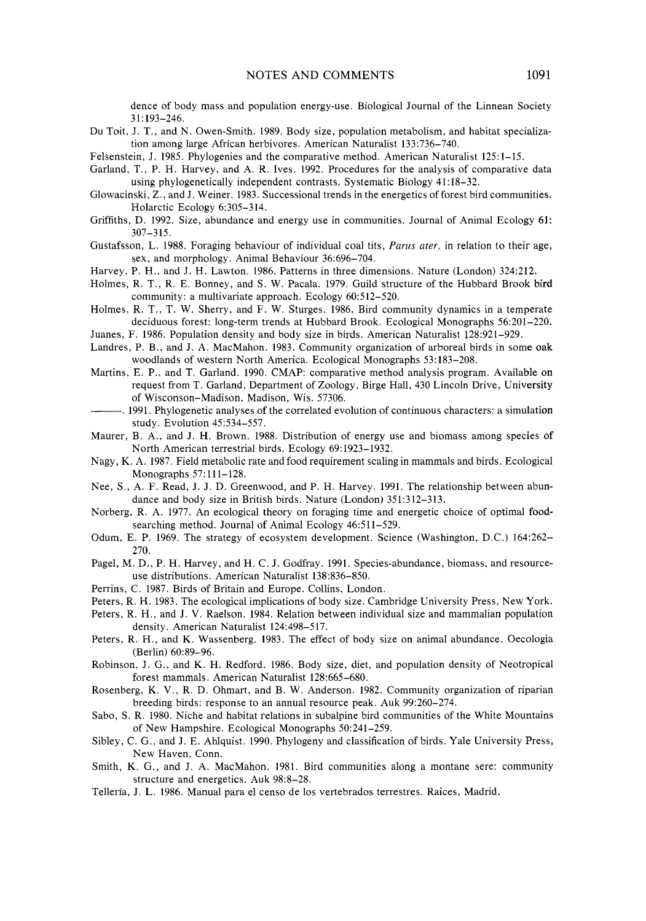dence of body mass and population energy-use. Biological Journal of the Linnean Society 31:193-246.

Du Toit, J. T., and N. Owen-Smith. 1989. Body size, population metabolism, and habitat specialization among large African herbivores. American Naturalist 133:736-740.

Felsenstein, J. 1985. Phylogenies and the comparative method. American Naturalist 125:1–15.

- Garland, T., P. H. Harvey, and A. R. Ives. 1992. Procedures for the analysis of comparative data using phylogenetically independent contrasts. Systematic Biology 41:18-32.
- Glowacinski, Z., and J. Weiner. 1983. Successional trends in the energetics of forest bird communities. Holarctic Ecology 6:305-314.
- Griffiths, D. 1992. Size, abundance and energy use in communities. Journal of Animal Ecology 61: 307-315.
- Gustafsson, L. 1988. Foraging behaviour of individual coal tits, *Parus ater*, in relation to their age, sex, and morphology. Animal Behaviour 36:696-704.
- Harvey, P. H., and J. H. Lawton. 1986. Patterns in three dimensions. Nature (London) 324:212.
- Holmes, R. T., R. E. Bonney, and S. W. Pacala. 1979. Guild structure of the Hubbard Brook bird community: a multivariate approach. Ecology  $60:512-520$ .
- Holmes, R. T., T. W. Sherry, and F. W. Sturges. 1986. Bird community dynamics in a temperate deciduous forest: long-term trends at Hubbard Brook. Ecological Monographs 56:201-220.
- Juanes, F. 1986. Population density and body size in birds. American Naturalist 128:921-929.
- Landres, P. B., and J. A. MacMahon. 1983. Community organization of arboreal birds in some oak woodlands of western North America. Ecological Monographs 53:183-208.
- Martins, E. P., and T. Garland. 1990. CMAP: comparative method analysis program. Available on request from T. Garland, Department of Zoology, Birge Hall, 430 Lincoln Drive, University of Wisconson-Madison, Madison, Wis. 57306.
- . 1991. Phylogenetic analyses of the correlated evolution of continuous characters: a simulation study. Evolution 45:534-557.
- Maurer, B. A,, and J. H. Brown. 1988. Distribution of energy use and biomass among species of North American terrestrial birds. Ecology 69:1923-1932.
- Nagy, K. A. 1987. Field metabolic rate and food requirement scaling in mammals and birds. Ecological Monographs 57:111-128.
- Nee, S., A. F. Read, J. J. D. Greenwood, and P. H. Harvey. 1991. The relationship between abundance and body size in British birds. Nature (London) 351:312-313.
- Norberg, R. A. 1977. An ecological theory on foraging time and energetic choice of optimal foodsearching method. Journal of Animal Ecology 46:511-529.
- Odum, E. P. 1969. The strategy of ecosystem development. Science (Washington, D.C.) 164:262- 270.
- Pagel, M. D., P. H. Harvey, and H. C. J. Godfray. 1991. Species-abundance, biomass, and resourceuse distributions. American Naturalist 138:836-850.
- Perrins, C. 1987. Birds of Britain and Europe. Collins, London.
- Peters, R. H. 1983. The ecological implications of body size. Cambridge University Press, New York.
- Peters, R. H., and J. V. Raelson. 1984. Relation between individual size and mammalian population density. American Naturalist 124:498-517.
- Peters, R. H., and K. Wassenberg. 1983. The effect of body size on animal abundance. Oecologia (Berlin) 60:89-96.
- Robinson, J. G., and K. H. Redford. 1986. Body size, diet, and population density of Neotropical forest mammals. American Naturalist 128:665-680.
- Rosenberg, K. V., R. D. Ohmart, and B. W. Anderson. 1982. Community organization of riparian breeding birds: response to an annual resource peak. Auk 99:260-274.
- Sabo, S. R. 1980. Niche and habitat relations in subalpine bird communities of the White Mountains of New Hampshire. Ecological Monographs 50:241-259.
- Sibley, C. G., and J. E. Ahlquist. 1990. Phylogeny and classification of birds. Yale University Press, New Haven, Conn.
- Smith, K. G., and J. A. MacMahon. 1981. Bird communities along a montane sere: community structure and energetics. Auk 98:8-28.
- Tellería, J. L. 1986. Manual para el censo de los vertebrados terrestres. Raices, Madrid.